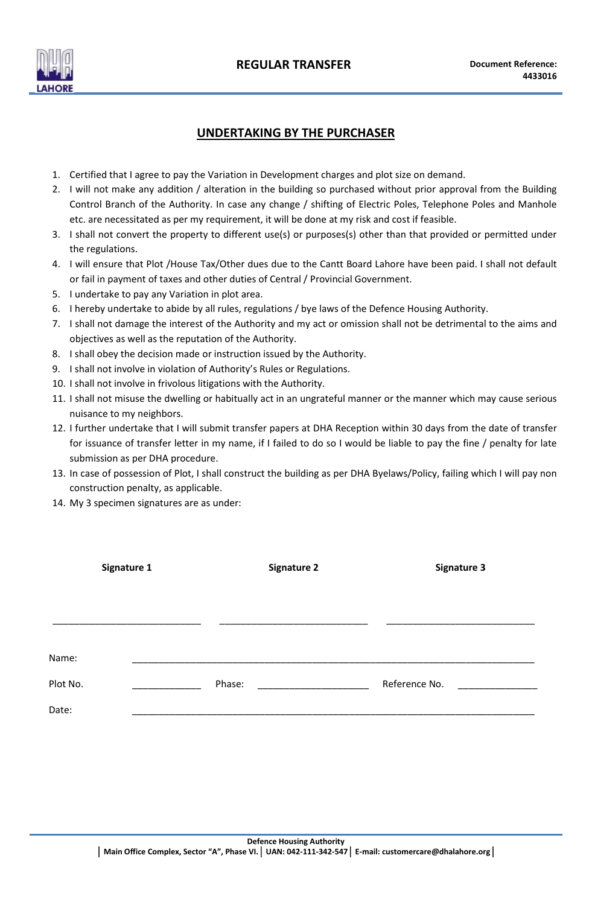

### **UNDERTAKING BY THE PURCHASER**

- 1. Certified that I agree to pay the Variation in Development charges and plot size on demand.
- 2. I will not make any addition / alteration in the building so purchased without prior approval from the Building Control Branch of the Authority. In case any change / shifting of Electric Poles, Telephone Poles and Manhole etc. are necessitated as per my requirement, it will be done at my risk and cost if feasible.
- 3. I shall not convert the property to different use(s) or purposes(s) other than that provided or permitted under the regulations.
- 4. I will ensure that Plot /House Tax/Other dues due to the Cantt Board Lahore have been paid. I shall not default or fail in payment of taxes and other duties of Central / Provincial Government.
- 5. I undertake to pay any Variation in plot area.
- 6. I hereby undertake to abide by all rules, regulations / bye laws of the Defence Housing Authority.
- 7. I shall not damage the interest of the Authority and my act or omission shall not be detrimental to the aims and objectives as well as the reputation of the Authority.
- 8. I shall obey the decision made or instruction issued by the Authority.
- 9. I shall not involve in violation of Authority's Rules or Regulations.
- 10. I shall not involve in frivolous litigations with the Authority.
- 11. I shall not misuse the dwelling or habitually act in an ungrateful manner or the manner which may cause serious nuisance to my neighbors.
- 12. I further undertake that I will submit transfer papers at DHA Reception within 30 days from the date of transfer for issuance of transfer letter in my name, if I failed to do so I would be liable to pay the fine / penalty for late submission as per DHA procedure.
- 13. In case of possession of Plot, I shall construct the building as per DHA Byelaws/Policy, failing which I will pay non construction penalty, as applicable.
- 14. My 3 specimen signatures are as under:

|          | Signature 1 | <b>Signature 2</b> | <b>Signature 3</b> |
|----------|-------------|--------------------|--------------------|
|          |             |                    |                    |
|          |             |                    |                    |
| Name:    |             |                    |                    |
| Plot No. |             | Phase:             | Reference No.      |
| Date:    |             |                    |                    |